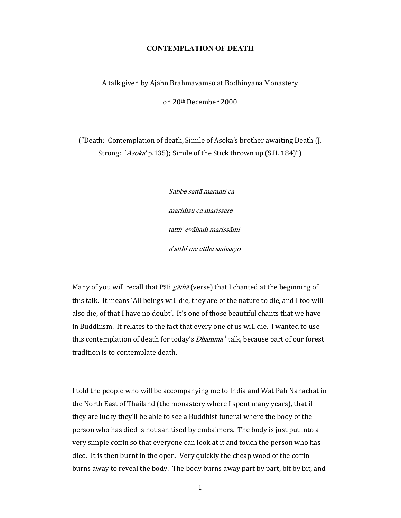# **CONTEMPLATION OF DEATH**

# A talk given by Ajahn Brahmavamso at Bodhinyana Monastery

on 20th December 2000

("Death: Contemplation of death, Simile of Asoka's brother awaiting Death (J. Strong: 'Asoka' p.135); Simile of the Stick thrown up (S.II. 184)")

> Sabbe sattā maranti ca marimsu ca marissare tatth' evāham marissāmi n'atthi me ettha samsayo

Many of you will recall that Pāli  $g\bar{a}$ that (verse) that I chanted at the beginning of this talk. It means 'All beings will die, they are of the nature to die, and I too will also die, of that I have no doubt'. It's one of those beautiful chants that we have in Buddhism. It relates to the fact that every one of us will die. I wanted to use this contemplation of death for today's *Dhamma*<sup>1</sup> talk, because part of our forest tradition is to contemplate death.

I told the people who will be accompanying me to India and Wat Pah Nanachat in the North East of Thailand (the monastery where I spent many years), that if they are lucky they'll be able to see a Buddhist funeral where the body of the person who has died is not sanitised by embalmers. The body is just put into a very simple coffin so that everyone can look at it and touch the person who has died. It is then burnt in the open. Very quickly the cheap wood of the coffin burns away to reveal the body. The body burns away part by part, bit by bit, and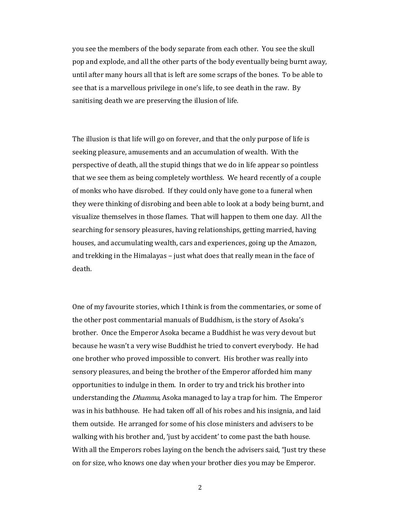you see the members of the body separate from each other. You see the skull pop and explode, and all the other parts of the body eventually being burnt away, until after many hours all that is left are some scraps of the bones. To be able to see that is a marvellous privilege in one's life, to see death in the raw. By sanitising death we are preserving the illusion of life.

The illusion is that life will go on forever, and that the only purpose of life is seeking pleasure, amusements and an accumulation of wealth. With the perspective of death, all the stupid things that we do in life appear so pointless that we see them as being completely worthless. We heard recently of a couple of monks who have disrobed. If they could only have gone to a funeral when they were thinking of disrobing and been able to look at a body being burnt, and visualize themselves in those flames. That will happen to them one day. All the searching for sensory pleasures, having relationships, getting married, having houses, and accumulating wealth, cars and experiences, going up the Amazon, and trekking in the Himalayas – just what does that really mean in the face of death.

One of my favourite stories, which I think is from the commentaries, or some of the other post commentarial manuals of Buddhism, is the story of Asoka's brother. Once the Emperor Asoka became a Buddhist he was very devout but because he wasn't a very wise Buddhist he tried to convert everybody. He had one brother who proved impossible to convert. His brother was really into sensory pleasures, and being the brother of the Emperor afforded him many opportunities to indulge in them. In order to try and trick his brother into understanding the *Dhamma*, Asoka managed to lay a trap for him. The Emperor was in his bathhouse. He had taken off all of his robes and his insignia, and laid them outside. He arranged for some of his close ministers and advisers to be walking with his brother and, 'just by accident' to come past the bath house. With all the Emperors robes laying on the bench the advisers said, "Just try these on for size, who knows one day when your brother dies you may be Emperor.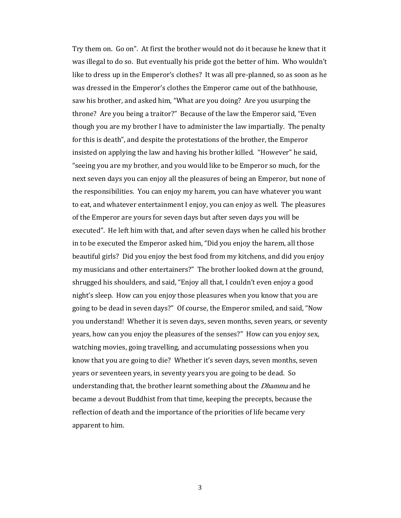Try them on. Go on". At first the brother would not do it because he knew that it was illegal to do so. But eventually his pride got the better of him. Who wouldn't like to dress up in the Emperor's clothes? It was all pre-planned, so as soon as he was dressed in the Emperor's clothes the Emperor came out of the bathhouse, saw his brother, and asked him, "What are you doing? Are you usurping the throne? Are you being a traitor?" Because of the law the Emperor said, "Even though you are my brother I have to administer the law impartially. The penalty for this is death", and despite the protestations of the brother, the Emperor insisted on applying the law and having his brother killed. "However" he said, "seeing you are my brother, and you would like to be Emperor so much, for the next seven days you can enjoy all the pleasures of being an Emperor, but none of the responsibilities. You can enjoy my harem, you can have whatever you want to eat, and whatever entertainment I enjoy, you can enjoy as well. The pleasures of the Emperor are yours for seven days but after seven days you will be executed". He left him with that, and after seven days when he called his brother in to be executed the Emperor asked him, "Did you enjoy the harem, all those beautiful girls? Did you enjoy the best food from my kitchens, and did you enjoy my musicians and other entertainers?" The brother looked down at the ground, shrugged his shoulders, and said, "Enjoy all that, I couldn't even enjoy a good night's sleep. How can you enjoy those pleasures when you know that you are going to be dead in seven days?" Of course, the Emperor smiled, and said, "Now you understand! Whether it is seven days, seven months, seven years, or seventy years, how can you enjoy the pleasures of the senses?" How can you enjoy sex, watching movies, going travelling, and accumulating possessions when you know that you are going to die? Whether it's seven days, seven months, seven years or seventeen years, in seventy years you are going to be dead. So understanding that, the brother learnt something about the Dhamma and he became a devout Buddhist from that time, keeping the precepts, because the reflection of death and the importance of the priorities of life became very apparent to him.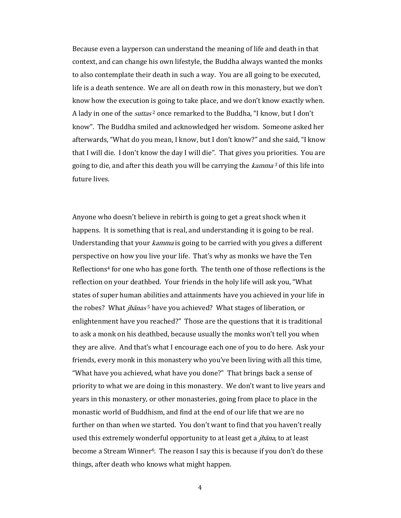Because even a layperson can understand the meaning of life and death in that context, and can change his own lifestyle, the Buddha always wanted the monks to also contemplate their death in such a way. You are all going to be executed, life is a death sentence. We are all on death row in this monastery, but we don't know how the execution is going to take place, and we don't know exactly when. A lady in one of the *suttas*<sup>2</sup> once remarked to the Buddha, "I know, but I don't know". The Buddha smiled and acknowledged her wisdom. Someone asked her afterwards, "What do you mean, I know, but I don't know?" and she said, "I know that I will die. I don't know the day I will die". That gives you priorities. You are going to die, and after this death you will be carrying the *kamma*<sup>3</sup> of this life into future lives.

Anyone who doesn't believe in rebirth is going to get a great shock when it happens. It is something that is real, and understanding it is going to be real. Understanding that your *kamma* is going to be carried with you gives a different perspective on how you live your life. That's why as monks we have the Ten Reflections<sup>4</sup> for one who has gone forth. The tenth one of those reflections is the reflection on your deathbed. Your friends in the holy life will ask you, "What states of super human abilities and attainments have you achieved in your life in the robes? What *jhānas*<sup>5</sup> have you achieved? What stages of liberation, or enlightenment have you reached?" Those are the questions that it is traditional to ask a monk on his deathbed, because usually the monks won't tell you when they are alive. And that's what I encourage each one of you to do here. Ask your friends, every monk in this monastery who you've been living with all this time, "What have you achieved, what have you done?" That brings back a sense of priority to what we are doing in this monastery. We don't want to live years and years in this monastery, or other monasteries, going from place to place in the monastic world of Buddhism, and find at the end of our life that we are no further on than when we started. You don't want to find that you haven't really used this extremely wonderful opportunity to at least get a *jhāna*, to at least become a Stream Winner<sup>6</sup>. The reason I say this is because if you don't do these things, after death who knows what might happen.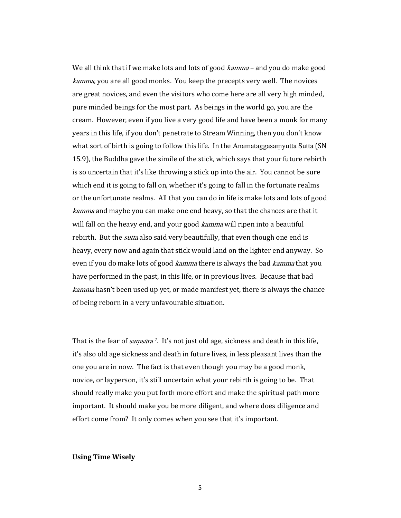We all think that if we make lots and lots of good *kamma* – and you do make good kamma, you are all good monks. You keep the precepts very well. The novices are great novices, and even the visitors who come here are all very high minded, pure minded beings for the most part. As beings in the world go, you are the cream. However, even if you live a very good life and have been a monk for many years in this life, if you don't penetrate to Stream Winning, then you don't know what sort of birth is going to follow this life. In the Anamataggasamyutta Sutta (SN 15.9), the Buddha gave the simile of the stick, which says that your future rebirth is so uncertain that it's like throwing a stick up into the air. You cannot be sure which end it is going to fall on, whether it's going to fall in the fortunate realms or the unfortunate realms. All that you can do in life is make lots and lots of good kamma and maybe you can make one end heavy, so that the chances are that it will fall on the heavy end, and your good *kamma* will ripen into a beautiful rebirth. But the *sutta* also said very beautifully, that even though one end is heavy, every now and again that stick would land on the lighter end anyway. So even if you do make lots of good *kamma* there is always the bad *kamma* that you have performed in the past, in this life, or in previous lives. Because that bad kamma hasn't been used up yet, or made manifest yet, there is always the chance of being reborn in a very unfavourable situation.

That is the fear of *samsāra*<sup>7</sup>. It's not just old age, sickness and death in this life, it's also old age sickness and death in future lives, in less pleasant lives than the one you are in now. The fact is that even though you may be a good monk, novice, or layperson, it's still uncertain what your rebirth is going to be. That should really make you put forth more effort and make the spiritual path more important. It should make you be more diligent, and where does diligence and effort come from? It only comes when you see that it's important.

# Using Time Wisely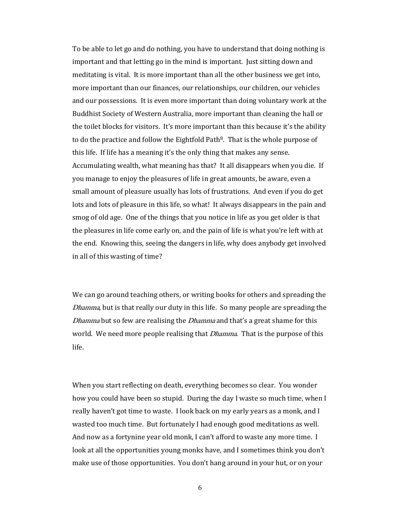To be able to let go and do nothing, you have to understand that doing nothing is important and that letting go in the mind is important. Just sitting down and meditating is vital. It is more important than all the other business we get into, more important than our finances, our relationships, our children, our vehicles and our possessions. It is even more important than doing voluntary work at the Buddhist Society of Western Australia, more important than cleaning the hall or the toilet blocks for visitors. It's more important than this because it's the ability to do the practice and follow the Eightfold Path<sup>8</sup>. That is the whole purpose of this life. If life has a meaning it's the only thing that makes any sense. Accumulating wealth, what meaning has that? It all disappears when you die. If you manage to enjoy the pleasures of life in great amounts, be aware, even a small amount of pleasure usually has lots of frustrations. And even if you do get lots and lots of pleasure in this life, so what! It always disappears in the pain and smog of old age. One of the things that you notice in life as you get older is that the pleasures in life come early on, and the pain of life is what you're left with at the end. Knowing this, seeing the dangers in life, why does anybody get involved in all of this wasting of time?

We can go around teaching others, or writing books for others and spreading the Dhamma, but is that really our duty in this life. So many people are spreading the Dhamma but so few are realising the *Dhamma* and that's a great shame for this world. We need more people realising that *Dhamma*. That is the purpose of this life.

When you start reflecting on death, everything becomes so clear. You wonder how you could have been so stupid. During the day I waste so much time, when I really haven't got time to waste. I look back on my early years as a monk, and I wasted too much time. But fortunately I had enough good meditations as well. And now as a fortynine year old monk, I can't afford to waste any more time. I look at all the opportunities young monks have, and I sometimes think you don't make use of those opportunities. You don't hang around in your hut, or on your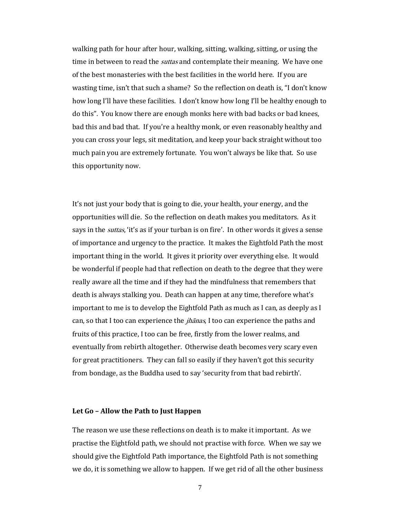walking path for hour after hour, walking, sitting, walking, sitting, or using the time in between to read the *suttas* and contemplate their meaning. We have one of the best monasteries with the best facilities in the world here. If you are wasting time, isn't that such a shame? So the reflection on death is, "I don't know how long I'll have these facilities. I don't know how long I'll be healthy enough to do this". You know there are enough monks here with bad backs or bad knees, bad this and bad that. If you're a healthy monk, or even reasonably healthy and you can cross your legs, sit meditation, and keep your back straight without too much pain you are extremely fortunate. You won't always be like that. So use this opportunity now.

It's not just your body that is going to die, your health, your energy, and the opportunities will die. So the reflection on death makes you meditators. As it says in the *suttas*, 'it's as if your turban is on fire'. In other words it gives a sense of importance and urgency to the practice. It makes the Eightfold Path the most important thing in the world. It gives it priority over everything else. It would be wonderful if people had that reflection on death to the degree that they were really aware all the time and if they had the mindfulness that remembers that death is always stalking you. Death can happen at any time, therefore what's important to me is to develop the Eightfold Path as much as I can, as deeply as I can, so that I too can experience the *jhānas*, I too can experience the paths and fruits of this practice, I too can be free, firstly from the lower realms, and eventually from rebirth altogether. Otherwise death becomes very scary even for great practitioners. They can fall so easily if they haven't got this security from bondage, as the Buddha used to say 'security from that bad rebirth'.

## Let Go – Allow the Path to Just Happen

The reason we use these reflections on death is to make it important. As we practise the Eightfold path, we should not practise with force. When we say we should give the Eightfold Path importance, the Eightfold Path is not something we do, it is something we allow to happen. If we get rid of all the other business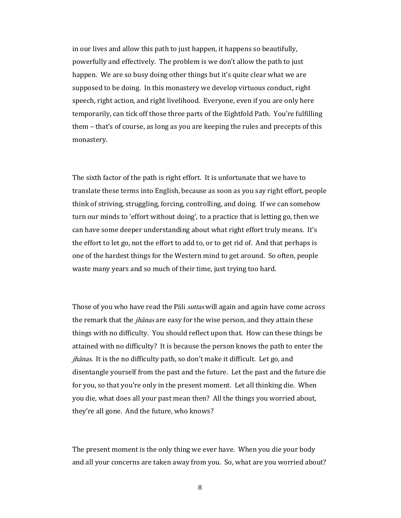in our lives and allow this path to just happen, it happens so beautifully, powerfully and effectively. The problem is we don't allow the path to just happen. We are so busy doing other things but it's quite clear what we are supposed to be doing. In this monastery we develop virtuous conduct, right speech, right action, and right livelihood. Everyone, even if you are only here temporarily, can tick off those three parts of the Eightfold Path. You're fulfilling them – that's of course, as long as you are keeping the rules and precepts of this monastery.

The sixth factor of the path is right effort. It is unfortunate that we have to translate these terms into English, because as soon as you say right effort, people think of striving, struggling, forcing, controlling, and doing. If we can somehow turn our minds to 'effort without doing', to a practice that is letting go, then we can have some deeper understanding about what right effort truly means. It's the effort to let go, not the effort to add to, or to get rid of. And that perhaps is one of the hardest things for the Western mind to get around. So often, people waste many years and so much of their time, just trying too hard.

Those of you who have read the Pāli *suttas* will again and again have come across the remark that the *jhānas* are easy for the wise person, and they attain these things with no difficulty. You should reflect upon that. How can these things be attained with no difficulty? It is because the person knows the path to enter the jhānas. It is the no difficulty path, so don't make it difficult. Let go, and disentangle yourself from the past and the future. Let the past and the future die for you, so that you're only in the present moment. Let all thinking die. When you die, what does all your past mean then? All the things you worried about, they're all gone. And the future, who knows?

The present moment is the only thing we ever have. When you die your body and all your concerns are taken away from you. So, what are you worried about?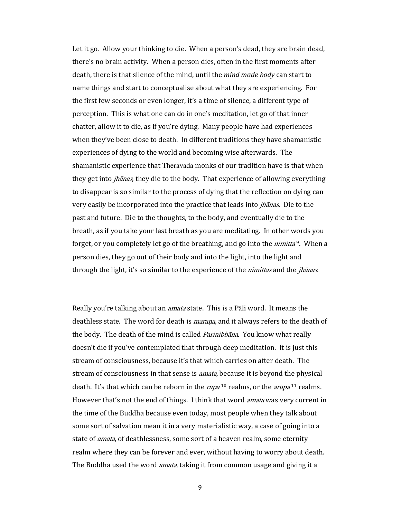Let it go. Allow your thinking to die. When a person's dead, they are brain dead, there's no brain activity. When a person dies, often in the first moments after death, there is that silence of the mind, until the *mind made body* can start to name things and start to conceptualise about what they are experiencing. For the first few seconds or even longer, it's a time of silence, a different type of perception. This is what one can do in one's meditation, let go of that inner chatter, allow it to die, as if you're dying. Many people have had experiences when they've been close to death. In different traditions they have shamanistic experiences of dying to the world and becoming wise afterwards. The shamanistic experience that Theravada monks of our tradition have is that when they get into *jhānas*, they die to the body. That experience of allowing everything to disappear is so similar to the process of dying that the reflection on dying can very easily be incorporated into the practice that leads into *jhānas*. Die to the past and future. Die to the thoughts, to the body, and eventually die to the breath, as if you take your last breath as you are meditating. In other words you forget, or you completely let go of the breathing, and go into the *nimitta*<sup>9</sup>. When a person dies, they go out of their body and into the light, into the light and through the light, it's so similar to the experience of the *nimittas* and the *jhanas*.

Really you're talking about an *amata* state. This is a Pali word. It means the deathless state. The word for death is *marana*, and it always refers to the death of the body. The death of the mind is called *Parinibbāna*. You know what really doesn't die if you've contemplated that through deep meditation. It is just this stream of consciousness, because it's that which carries on after death. The stream of consciousness in that sense is *amata*, because it is beyond the physical death. It's that which can be reborn in the  $r\bar{u}pa^{10}$  realms, or the  $ar\bar{u}pa^{11}$  realms. However that's not the end of things. I think that word *amata* was very current in the time of the Buddha because even today, most people when they talk about some sort of salvation mean it in a very materialistic way, a case of going into a state of *amata*, of deathlessness, some sort of a heaven realm, some eternity realm where they can be forever and ever, without having to worry about death. The Buddha used the word *amata*, taking it from common usage and giving it a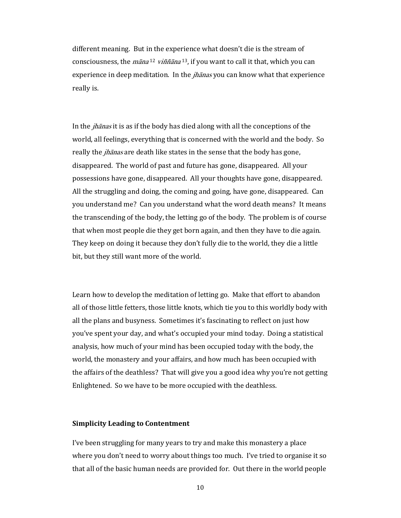different meaning. But in the experience what doesn't die is the stream of consciousness, the *māna* <sup>12</sup> *viññāna* <sup>13</sup>, if you want to call it that, which you can experience in deep meditation. In the *jhanas* you can know what that experience really is.

In the jhānas it is as if the body has died along with all the conceptions of the world, all feelings, everything that is concerned with the world and the body. So really the *jhanas* are death like states in the sense that the body has gone, disappeared. The world of past and future has gone, disappeared. All your possessions have gone, disappeared. All your thoughts have gone, disappeared. All the struggling and doing, the coming and going, have gone, disappeared. Can you understand me? Can you understand what the word death means? It means the transcending of the body, the letting go of the body. The problem is of course that when most people die they get born again, and then they have to die again. They keep on doing it because they don't fully die to the world, they die a little bit, but they still want more of the world.

Learn how to develop the meditation of letting go. Make that effort to abandon all of those little fetters, those little knots, which tie you to this worldly body with all the plans and busyness. Sometimes it's fascinating to reflect on just how you've spent your day, and what's occupied your mind today. Doing a statistical analysis, how much of your mind has been occupied today with the body, the world, the monastery and your affairs, and how much has been occupied with the affairs of the deathless? That will give you a good idea why you're not getting Enlightened. So we have to be more occupied with the deathless.

#### Simplicity Leading to Contentment

I've been struggling for many years to try and make this monastery a place where you don't need to worry about things too much. I've tried to organise it so that all of the basic human needs are provided for. Out there in the world people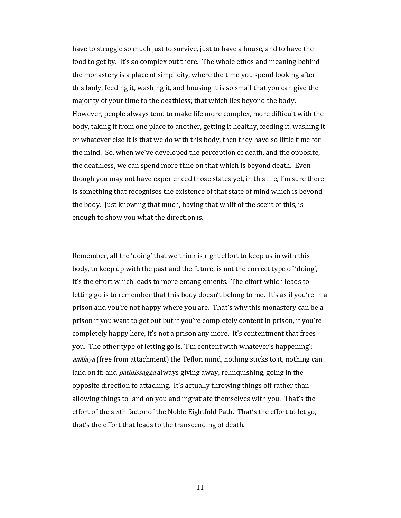have to struggle so much just to survive, just to have a house, and to have the food to get by. It's so complex out there. The whole ethos and meaning behind the monastery is a place of simplicity, where the time you spend looking after this body, feeding it, washing it, and housing it is so small that you can give the majority of your time to the deathless; that which lies beyond the body. However, people always tend to make life more complex, more difficult with the body, taking it from one place to another, getting it healthy, feeding it, washing it or whatever else it is that we do with this body, then they have so little time for the mind. So, when we've developed the perception of death, and the opposite, the deathless, we can spend more time on that which is beyond death. Even though you may not have experienced those states yet, in this life, I'm sure there is something that recognises the existence of that state of mind which is beyond the body. Just knowing that much, having that whiff of the scent of this, is enough to show you what the direction is.

Remember, all the 'doing' that we think is right effort to keep us in with this body, to keep up with the past and the future, is not the correct type of 'doing', it's the effort which leads to more entanglements. The effort which leads to letting go is to remember that this body doesn't belong to me. It's as if you're in a prison and you're not happy where you are. That's why this monastery can be a prison if you want to get out but if you're completely content in prison, if you're completely happy here, it's not a prison any more. It's contentment that frees you. The other type of letting go is, 'I'm content with whatever's happening'; anālaya (free from attachment) the Teflon mind, nothing sticks to it, nothing can land on it; and *patinissagga* always giving away, relinquishing, going in the opposite direction to attaching. It's actually throwing things off rather than allowing things to land on you and ingratiate themselves with you. That's the effort of the sixth factor of the Noble Eightfold Path. That's the effort to let go, that's the effort that leads to the transcending of death.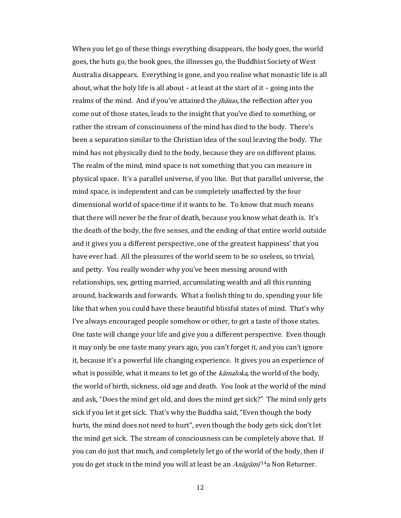When you let go of these things everything disappears, the body goes, the world goes, the huts go, the book goes, the illnesses go, the Buddhist Society of West Australia disappears. Everything is gone, and you realise what monastic life is all about, what the holy life is all about – at least at the start of it – going into the realms of the mind. And if you've attained the *jhanas*, the reflection after you come out of those states, leads to the insight that you've died to something, or rather the stream of consciousness of the mind has died to the body. There's been a separation similar to the Christian idea of the soul leaving the body. The mind has not physically died to the body, because they are on different plains. The realm of the mind, mind space is not something that you can measure in physical space. It's a parallel universe, if you like. But that parallel universe, the mind space, is independent and can be completely unaffected by the four dimensional world of space-time if it wants to be. To know that much means that there will never be the fear of death, because you know what death is. It's the death of the body, the five senses, and the ending of that entire world outside and it gives you a different perspective, one of the greatest happiness' that you have ever had. All the pleasures of the world seem to be so useless, so trivial, and petty. You really wonder why you've been messing around with relationships, sex, getting married, accumulating wealth and all this running around, backwards and forwards. What a foolish thing to do, spending your life like that when you could have these beautiful blissful states of mind. That's why I've always encouraged people somehow or other, to get a taste of those states. One taste will change your life and give you a different perspective. Even though it may only be one taste many years ago, you can't forget it, and you can't ignore it, because it's a powerful life changing experience. It gives you an experience of what is possible, what it means to let go of the *kāmaloka*, the world of the body, the world of birth, sickness, old age and death. You look at the world of the mind and ask, "Does the mind get old, and does the mind get sick?" The mind only gets sick if you let it get sick. That's why the Buddha said, "Even though the body hurts, the mind does not need to hurt", even though the body gets sick, don't let the mind get sick. The stream of consciousness can be completely above that. If you can do just that much, and completely let go of the world of the body, then if you do get stuck in the mind you will at least be an *Anāgāmī* <sup>14</sup>a Non Returner.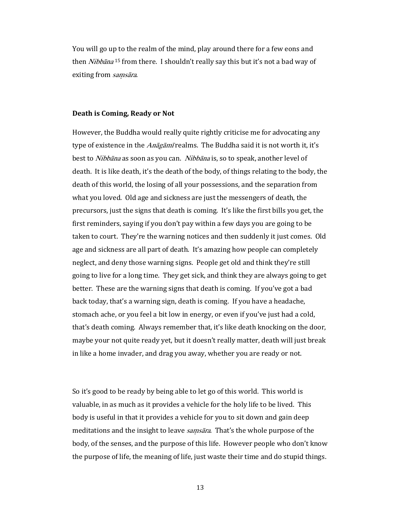You will go up to the realm of the mind, play around there for a few eons and then *Nibbāna* <sup>15</sup> from there. I shouldn't really say this but it's not a bad way of exiting from samsāra.

### Death is Coming, Ready or Not

However, the Buddha would really quite rightly criticise me for advocating any type of existence in the *Anāgāmī* realms. The Buddha said it is not worth it, it's best to Nibbāna as soon as you can. Nibbāna is, so to speak, another level of death. It is like death, it's the death of the body, of things relating to the body, the death of this world, the losing of all your possessions, and the separation from what you loved. Old age and sickness are just the messengers of death, the precursors, just the signs that death is coming. It's like the first bills you get, the first reminders, saying if you don't pay within a few days you are going to be taken to court. They're the warning notices and then suddenly it just comes. Old age and sickness are all part of death. It's amazing how people can completely neglect, and deny those warning signs. People get old and think they're still going to live for a long time. They get sick, and think they are always going to get better. These are the warning signs that death is coming. If you've got a bad back today, that's a warning sign, death is coming. If you have a headache, stomach ache, or you feel a bit low in energy, or even if you've just had a cold, that's death coming. Always remember that, it's like death knocking on the door, maybe your not quite ready yet, but it doesn't really matter, death will just break in like a home invader, and drag you away, whether you are ready or not.

So it's good to be ready by being able to let go of this world. This world is valuable, in as much as it provides a vehicle for the holy life to be lived. This body is useful in that it provides a vehicle for you to sit down and gain deep meditations and the insight to leave *samsāra*. That's the whole purpose of the body, of the senses, and the purpose of this life. However people who don't know the purpose of life, the meaning of life, just waste their time and do stupid things.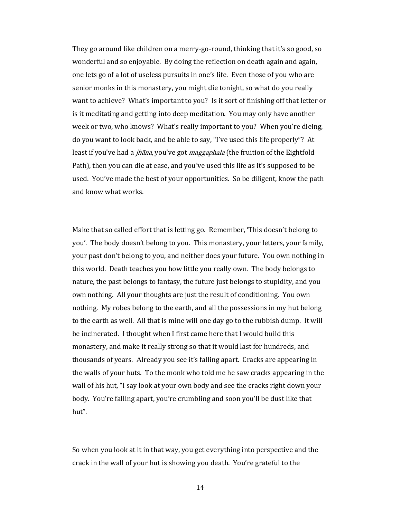They go around like children on a merry-go-round, thinking that it's so good, so wonderful and so enjoyable. By doing the reflection on death again and again, one lets go of a lot of useless pursuits in one's life. Even those of you who are senior monks in this monastery, you might die tonight, so what do you really want to achieve? What's important to you? Is it sort of finishing off that letter or is it meditating and getting into deep meditation. You may only have another week or two, who knows? What's really important to you? When you're dieing, do you want to look back, and be able to say, "I've used this life properly"? At least if you've had a *jhāna*, you've got *maggaphala* (the fruition of the Eightfold Path), then you can die at ease, and you've used this life as it's supposed to be used. You've made the best of your opportunities. So be diligent, know the path and know what works.

Make that so called effort that is letting go. Remember, 'This doesn't belong to you'. The body doesn't belong to you. This monastery, your letters, your family, your past don't belong to you, and neither does your future. You own nothing in this world. Death teaches you how little you really own. The body belongs to nature, the past belongs to fantasy, the future just belongs to stupidity, and you own nothing. All your thoughts are just the result of conditioning. You own nothing. My robes belong to the earth, and all the possessions in my hut belong to the earth as well. All that is mine will one day go to the rubbish dump. It will be incinerated. I thought when I first came here that I would build this monastery, and make it really strong so that it would last for hundreds, and thousands of years. Already you see it's falling apart. Cracks are appearing in the walls of your huts. To the monk who told me he saw cracks appearing in the wall of his hut, "I say look at your own body and see the cracks right down your body. You're falling apart, you're crumbling and soon you'll be dust like that hut".

So when you look at it in that way, you get everything into perspective and the crack in the wall of your hut is showing you death. You're grateful to the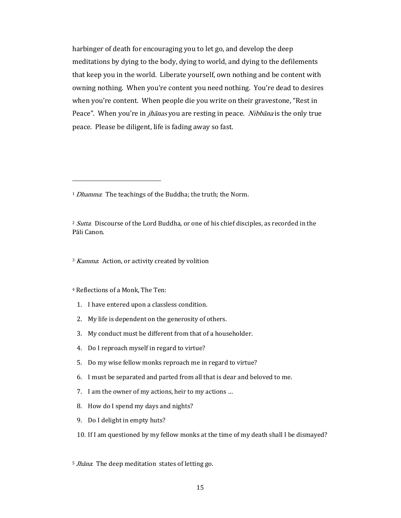harbinger of death for encouraging you to let go, and develop the deep meditations by dying to the body, dying to world, and dying to the defilements that keep you in the world. Liberate yourself, own nothing and be content with owning nothing. When you're content you need nothing. You're dead to desires when you're content. When people die you write on their gravestone, "Rest in Peace". When you're in *jhānas* you are resting in peace. *Nibbāna* is the only true peace. Please be diligent, life is fading away so fast.

<sup>1</sup> Dhamma: The teachings of the Buddha; the truth; the Norm.

<sup>2</sup> Sutta: Discourse of the Lord Buddha, or one of his chief disciples, as recorded in the Pāli Canon.

<sup>3</sup> Kamma: Action, or activity created by volition

## <sup>4</sup> Reflections of a Monk, The Ten:

 $\overline{a}$ 

- 1. I have entered upon a classless condition.
- 2. My life is dependent on the generosity of others.
- 3. My conduct must be different from that of a householder.
- 4. Do I reproach myself in regard to virtue?
- 5. Do my wise fellow monks reproach me in regard to virtue?
- 6. I must be separated and parted from all that is dear and beloved to me.
- 7. I am the owner of my actions, heir to my actions …
- 8. How do I spend my days and nights?
- 9. Do I delight in empty huts?

## 10. If I am questioned by my fellow monks at the time of my death shall I be dismayed?

<sup>5</sup> Jhāna: The deep meditation states of letting go.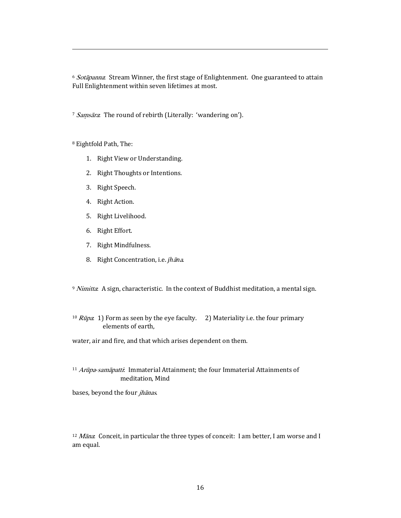<sup>6</sup> Sotāpanna: Stream Winner, the first stage of Enlightenment. One guaranteed to attain Full Enlightenment within seven lifetimes at most.

<sup>7</sup> Samsāra: The round of rebirth (Literally: 'wandering on').

<sup>8</sup> Eightfold Path, The:

 $\overline{a}$ 

- 1. Right View or Understanding.
- 2. Right Thoughts or Intentions.
- 3. Right Speech.
- 4. Right Action.
- 5. Right Livelihood.
- 6. Right Effort.
- 7. Right Mindfulness.
- 8. Right Concentration, i.e. jhāna.

 $9$  *Nimitta*: A sign, characteristic. In the context of Buddhist meditation, a mental sign.

<sup>10</sup> *Rūpa*: 1) Form as seen by the eye faculty. 2) Materiality i.e. the four primary elements of earth,

water, air and fire, and that which arises dependent on them.

<sup>11</sup> Arūpa-samāpatti: Immaterial Attainment; the four Immaterial Attainments of meditation, Mind

bases, beyond the four *jhānas*.

 $12$  *Māna*: Conceit, in particular the three types of conceit: I am better, I am worse and I am equal.